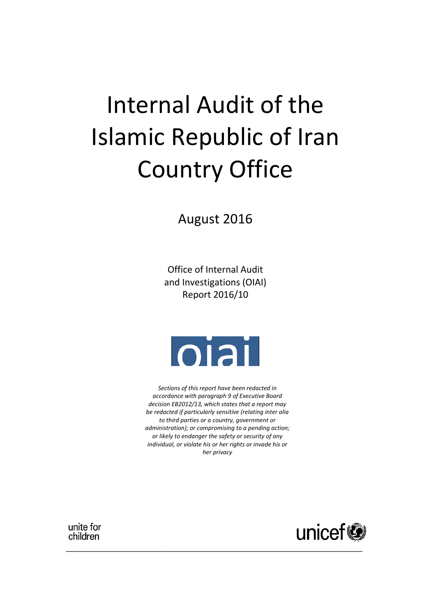# Internal Audit of the Islamic Republic of Iran Country Office

August 2016

Office of Internal Audit and Investigations (OIAI) Report 2016/10



*Sections of this report have been redacted in accordance with paragraph 9 of Executive Board decision EB2012/13, which states that a report may be redacted if particularly sensitive (relating inter alia to third parties or a country, government or administration); or compromising to a pending action; or likely to endanger the safety or security of any individual, or violate his or her rights or invade his or her privacy*

\_\_\_\_\_\_\_\_\_\_\_\_\_\_\_\_\_\_\_\_\_\_\_\_\_\_\_\_\_\_\_\_\_\_\_\_\_\_\_\_\_\_\_\_\_\_\_\_\_\_\_\_\_\_\_\_\_\_\_\_\_\_\_\_\_\_\_\_\_\_\_\_\_\_



unite for children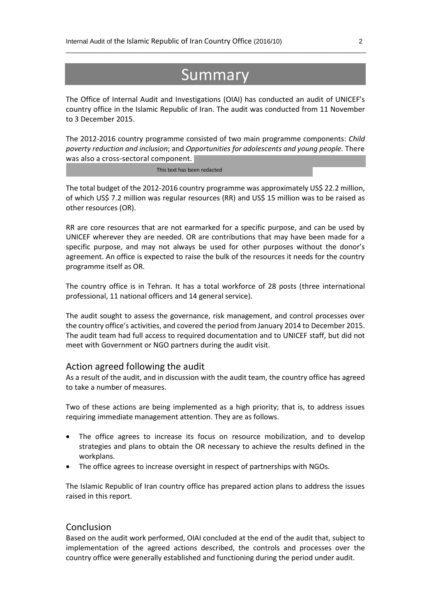# **Summary**

\_\_\_\_\_\_\_\_\_\_\_\_\_\_\_\_\_\_\_\_\_\_\_\_\_\_\_\_\_\_\_\_\_\_\_\_\_\_\_\_\_\_\_\_\_\_\_\_\_\_\_\_\_\_\_\_\_\_\_\_\_\_\_\_\_\_\_\_\_\_\_\_\_\_\_\_\_\_\_\_\_\_

The Office of Internal Audit and Investigations (OIAI) has conducted an audit of UNICEF's country office in the Islamic Republic of Iran. The audit was conducted from 11 November to 3 December 2015.

The 2012-2016 country programme consisted of two main programme components: *Child poverty reduction and inclusion*; and *Opportunities for adolescents and young people.* There was also a cross-sectoral component.

 $*{\mathbb Z}^n$  and  $*{\mathbb Z}^n$  and  $*{\mathbb Z}^n$  . This text has been redacted  $*{\mathbb Z}^n$  and  $*{\mathbb Z}^n$  and  $*{\mathbb Z}^n$ 

The total budget of the 2012-2016 country programme was approximately US\$ 22.2 million, of which US\$ 7.2 million was regular resources (RR) and US\$ 15 million was to be raised as other resources (OR).

RR are core resources that are not earmarked for a specific purpose, and can be used by UNICEF wherever they are needed. OR are contributions that may have been made for a specific purpose, and may not always be used for other purposes without the donor's agreement. An office is expected to raise the bulk of the resources it needs for the country programme itself as OR.

The country office is in Tehran. It has a total workforce of 28 posts (three international professional, 11 national officers and 14 general service).

The audit sought to assess the governance, risk management, and control processes over the country office's activities, and covered the period from January 2014 to December 2015. The audit team had full access to required documentation and to UNICEF staff, but did not meet with Government or NGO partners during the audit visit.

#### Action agreed following the audit

As a result of the audit, and in discussion with the audit team, the country office has agreed to take a number of measures.

Two of these actions are being implemented as a high priority; that is, to address issues requiring immediate management attention. They are as follows.

- The office agrees to increase its focus on resource mobilization, and to develop strategies and plans to obtain the OR necessary to achieve the results defined in the workplans.
- The office agrees to increase oversight in respect of partnerships with NGOs.

The Islamic Republic of Iran country office has prepared action plans to address the issues raised in this report.

#### Conclusion

Based on the audit work performed, OIAI concluded at the end of the audit that, subject to implementation of the agreed actions described, the controls and processes over the country office were generally established and functioning during the period under audit.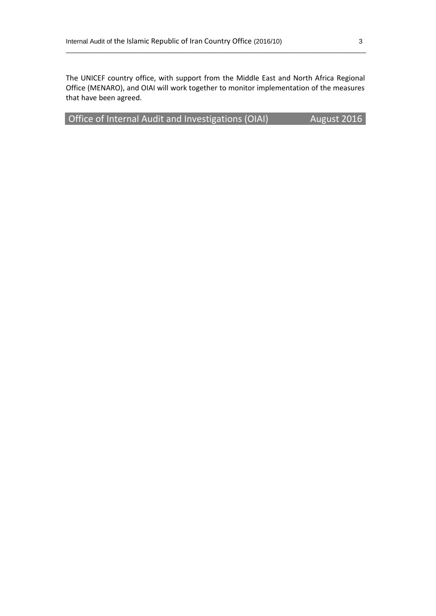The UNICEF country office, with support from the Middle East and North Africa Regional Office (MENARO), and OIAI will work together to monitor implementation of the measures that have been agreed.

\_\_\_\_\_\_\_\_\_\_\_\_\_\_\_\_\_\_\_\_\_\_\_\_\_\_\_\_\_\_\_\_\_\_\_\_\_\_\_\_\_\_\_\_\_\_\_\_\_\_\_\_\_\_\_\_\_\_\_\_\_\_\_\_\_\_\_\_\_\_\_\_\_\_\_\_\_\_\_\_\_\_

Office of Internal Audit and Investigations (OIAI) August 2016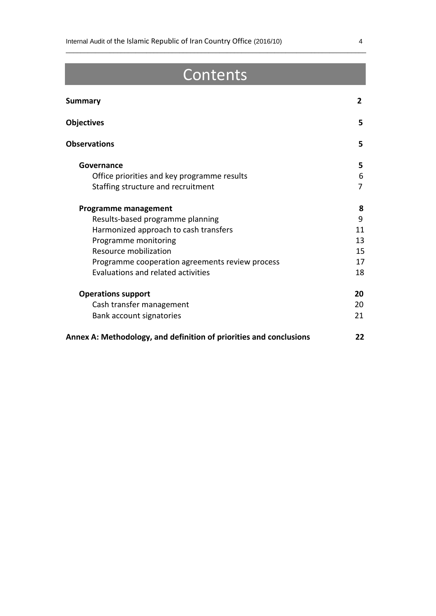# **Contents**

\_\_\_\_\_\_\_\_\_\_\_\_\_\_\_\_\_\_\_\_\_\_\_\_\_\_\_\_\_\_\_\_\_\_\_\_\_\_\_\_\_\_\_\_\_\_\_\_\_\_\_\_\_\_\_\_\_\_\_\_\_\_\_\_\_\_\_\_\_\_\_\_\_\_\_\_\_\_\_\_\_\_

| <b>Summary</b>                                                     | $\mathbf{2}$   |
|--------------------------------------------------------------------|----------------|
| <b>Objectives</b>                                                  | 5              |
| <b>Observations</b>                                                | 5              |
| Governance                                                         | 5.             |
| Office priorities and key programme results                        | 6              |
| Staffing structure and recruitment                                 | $\overline{7}$ |
| Programme management                                               | 8              |
| Results-based programme planning                                   | 9              |
| Harmonized approach to cash transfers                              | 11             |
| Programme monitoring                                               | 13             |
| Resource mobilization                                              | 15             |
| Programme cooperation agreements review process                    | 17             |
| Evaluations and related activities                                 | 18             |
| <b>Operations support</b>                                          | 20             |
| Cash transfer management                                           | 20             |
| Bank account signatories                                           | 21             |
| Annex A: Methodology, and definition of priorities and conclusions | 22             |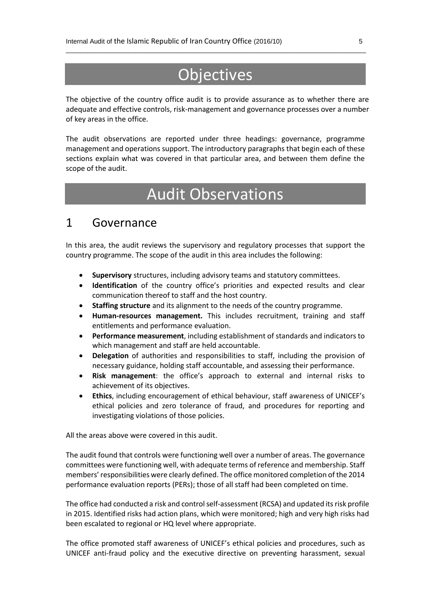# **Objectives**

\_\_\_\_\_\_\_\_\_\_\_\_\_\_\_\_\_\_\_\_\_\_\_\_\_\_\_\_\_\_\_\_\_\_\_\_\_\_\_\_\_\_\_\_\_\_\_\_\_\_\_\_\_\_\_\_\_\_\_\_\_\_\_\_\_\_\_\_\_\_\_\_\_\_\_\_\_\_\_\_\_\_

The objective of the country office audit is to provide assurance as to whether there are adequate and effective controls, risk-management and governance processes over a number of key areas in the office.

The audit observations are reported under three headings: governance, programme management and operations support. The introductory paragraphs that begin each of these sections explain what was covered in that particular area, and between them define the scope of the audit.

# Audit Observations

### 1 Governance

In this area, the audit reviews the supervisory and regulatory processes that support the country programme. The scope of the audit in this area includes the following:

- **Supervisory** structures, including advisory teams and statutory committees.
- **Identification** of the country office's priorities and expected results and clear communication thereof to staff and the host country.
- **Staffing structure** and its alignment to the needs of the country programme.
- **Human-resources management.** This includes recruitment, training and staff entitlements and performance evaluation.
- **Performance measurement**, including establishment of standards and indicators to which management and staff are held accountable.
- **Delegation** of authorities and responsibilities to staff, including the provision of necessary guidance, holding staff accountable, and assessing their performance.
- **Risk management**: the office's approach to external and internal risks to achievement of its objectives.
- **Ethics**, including encouragement of ethical behaviour, staff awareness of UNICEF's ethical policies and zero tolerance of fraud, and procedures for reporting and investigating violations of those policies.

All the areas above were covered in this audit.

The audit found that controls were functioning well over a number of areas. The governance committees were functioning well, with adequate terms of reference and membership. Staff members' responsibilities were clearly defined. The office monitored completion of the 2014 performance evaluation reports (PERs); those of all staff had been completed on time.

The office had conducted a risk and control self-assessment (RCSA) and updated its risk profile in 2015. Identified risks had action plans, which were monitored; high and very high risks had been escalated to regional or HQ level where appropriate.

The office promoted staff awareness of UNICEF's ethical policies and procedures, such as UNICEF anti-fraud policy and the executive directive on preventing harassment, sexual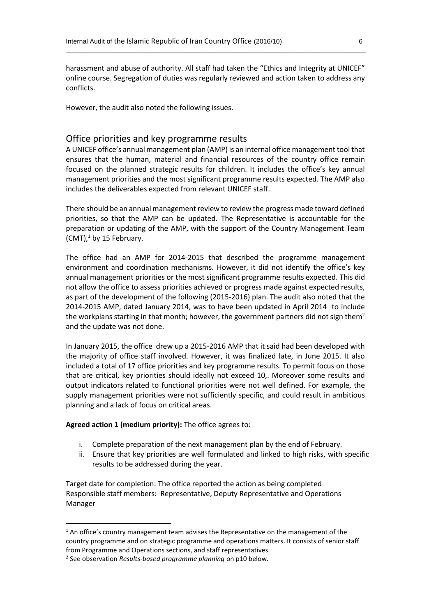harassment and abuse of authority. All staff had taken the "Ethics and Integrity at UNICEF" online course. Segregation of duties was regularly reviewed and action taken to address any conflicts.

\_\_\_\_\_\_\_\_\_\_\_\_\_\_\_\_\_\_\_\_\_\_\_\_\_\_\_\_\_\_\_\_\_\_\_\_\_\_\_\_\_\_\_\_\_\_\_\_\_\_\_\_\_\_\_\_\_\_\_\_\_\_\_\_\_\_\_\_\_\_\_\_\_\_\_\_\_\_\_\_\_\_

However, the audit also noted the following issues.

#### Office priorities and key programme results

A UNICEF office's annual management plan (AMP) is an internal office management tool that ensures that the human, material and financial resources of the country office remain focused on the planned strategic results for children. It includes the office's key annual management priorities and the most significant programme results expected. The AMP also includes the deliverables expected from relevant UNICEF staff.

There should be an annual management review to review the progress made toward defined priorities, so that the AMP can be updated. The Representative is accountable for the preparation or updating of the AMP, with the support of the Country Management Team  $(CMT)<sup>1</sup>$  by 15 February.

The office had an AMP for 2014-2015 that described the programme management environment and coordination mechanisms. However, it did not identify the office's key annual management priorities or the most significant programme results expected. This did not allow the office to assess priorities achieved or progress made against expected results, as part of the development of the following (2015-2016) plan. The audit also noted that the 2014-2015 AMP, dated January 2014, was to have been updated in April 2014 to include the workplans starting in that month; however, the government partners did not sign them<sup>2</sup> and the update was not done.

In January 2015, the office drew up a 2015-2016 AMP that it said had been developed with the majority of office staff involved. However, it was finalized late, in June 2015. It also included a total of 17 office priorities and key programme results. To permit focus on those that are critical, key priorities should ideally not exceed 10,. Moreover some results and output indicators related to functional priorities were not well defined. For example, the supply management priorities were not sufficiently specific, and could result in ambitious planning and a lack of focus on critical areas.

#### **Agreed action 1 (medium priority):** The office agrees to:

- i. Complete preparation of the next management plan by the end of February.
- ii. Ensure that key priorities are well formulated and linked to high risks, with specific results to be addressed during the year.

Target date for completion: The office reported the action as being completed Responsible staff members: Representative, Deputy Representative and Operations Manager

**.** 

<sup>&</sup>lt;sup>1</sup> An office's country management team advises the Representative on the management of the country programme and on strategic programme and operations matters. It consists of senior staff from Programme and Operations sections, and staff representatives.

<sup>2</sup> See observation *Results-based programme planning* on p10 below.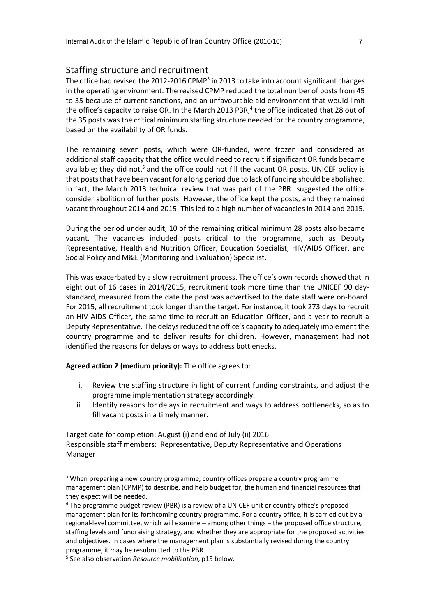#### Staffing structure and recruitment

The office had revised the 2012-2016 CPMP<sup>3</sup> in 2013 to take into account significant changes in the operating environment. The revised CPMP reduced the total number of posts from 45 to 35 because of current sanctions, and an unfavourable aid environment that would limit the office's capacity to raise OR. In the March 2013 PBR,<sup>4</sup> the office indicated that 28 out of the 35 posts wasthe critical minimum staffing structure needed for the country programme, based on the availability of OR funds.

\_\_\_\_\_\_\_\_\_\_\_\_\_\_\_\_\_\_\_\_\_\_\_\_\_\_\_\_\_\_\_\_\_\_\_\_\_\_\_\_\_\_\_\_\_\_\_\_\_\_\_\_\_\_\_\_\_\_\_\_\_\_\_\_\_\_\_\_\_\_\_\_\_\_\_\_\_\_\_\_\_\_

The remaining seven posts, which were OR-funded, were frozen and considered as additional staff capacity that the office would need to recruit if significant OR funds became available; they did not, $5$  and the office could not fill the vacant OR posts. UNICEF policy is that posts that have been vacant for a long period due to lack of funding should be abolished. In fact, the March 2013 technical review that was part of the PBR suggested the office consider abolition of further posts. However, the office kept the posts, and they remained vacant throughout 2014 and 2015. This led to a high number of vacancies in 2014 and 2015.

During the period under audit, 10 of the remaining critical minimum 28 posts also became vacant. The vacancies included posts critical to the programme, such as Deputy Representative, Health and Nutrition Officer, Education Specialist, HIV/AIDS Officer, and Social Policy and M&E (Monitoring and Evaluation) Specialist.

This was exacerbated by a slow recruitment process. The office's own records showed that in eight out of 16 cases in 2014/2015, recruitment took more time than the UNICEF 90 daystandard, measured from the date the post was advertised to the date staff were on-board. For 2015, all recruitment took longer than the target. For instance, it took 273 days to recruit an HIV AIDS Officer, the same time to recruit an Education Officer, and a year to recruit a Deputy Representative. The delays reduced the office's capacity to adequately implement the country programme and to deliver results for children. However, management had not identified the reasons for delays or ways to address bottlenecks.

**Agreed action 2 (medium priority):** The office agrees to:

- i. Review the staffing structure in light of current funding constraints, and adjust the programme implementation strategy accordingly.
- ii. Identify reasons for delays in recruitment and ways to address bottlenecks, so as to fill vacant posts in a timely manner.

Target date for completion: August (i) and end of July (ii) 2016 Responsible staff members: Representative, Deputy Representative and Operations Manager

**.** 

<sup>3</sup> When preparing a new country programme, country offices prepare a country programme management plan (CPMP) to describe, and help budget for, the human and financial resources that they expect will be needed.

<sup>4</sup> The programme budget review (PBR) is a review of a UNICEF unit or country office's proposed management plan for its forthcoming country programme. For a country office, it is carried out by a regional-level committee, which will examine – among other things – the proposed office structure, staffing levels and fundraising strategy, and whether they are appropriate for the proposed activities and objectives. In cases where the management plan is substantially revised during the country programme, it may be resubmitted to the PBR.

<sup>5</sup> See also observation *Resource mobilization*, p15 below.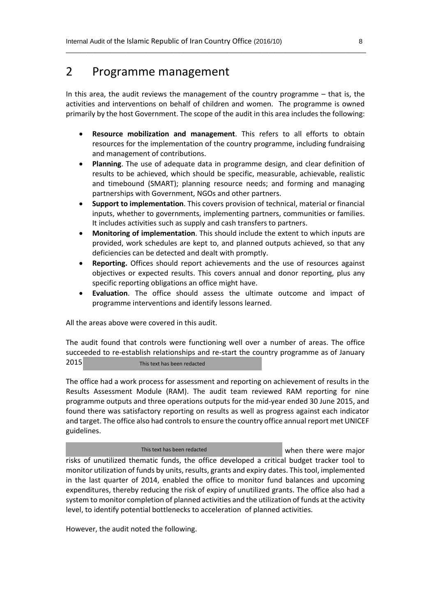### 2 Programme management

In this area, the audit reviews the management of the country programme – that is, the activities and interventions on behalf of children and women. The programme is owned primarily by the host Government. The scope of the audit in this area includes the following:

\_\_\_\_\_\_\_\_\_\_\_\_\_\_\_\_\_\_\_\_\_\_\_\_\_\_\_\_\_\_\_\_\_\_\_\_\_\_\_\_\_\_\_\_\_\_\_\_\_\_\_\_\_\_\_\_\_\_\_\_\_\_\_\_\_\_\_\_\_\_\_\_\_\_\_\_\_\_\_\_\_\_

- **Resource mobilization and management**. This refers to all efforts to obtain resources for the implementation of the country programme, including fundraising and management of contributions.
- **Planning**. The use of adequate data in programme design, and clear definition of results to be achieved, which should be specific, measurable, achievable, realistic and timebound (SMART); planning resource needs; and forming and managing partnerships with Government, NGOs and other partners.
- **Support to implementation**. This covers provision of technical, material or financial inputs, whether to governments, implementing partners, communities or families. It includes activities such as supply and cash transfers to partners.
- **Monitoring of implementation**. This should include the extent to which inputs are provided, work schedules are kept to, and planned outputs achieved, so that any deficiencies can be detected and dealt with promptly.
- **Reporting.** Offices should report achievements and the use of resources against objectives or expected results. This covers annual and donor reporting, plus any specific reporting obligations an office might have.
- **Evaluation**. The office should assess the ultimate outcome and impact of programme interventions and identify lessons learned.

All the areas above were covered in this audit.

The audit found that controls were functioning well over a number of areas. The office succeeded to re-establish relationships and re-start the country programme as of January **2015** \*\*\*\* \*\*\*\* \*\*\* \*\*\* This text has been redacted \*\*\* \*\*\* \*\*\* \*\*\* \*\*\* \*\*\* \*\*

The office had a work process for assessment and reporting on achievement of results in the Results Assessment Module (RAM). The audit team reviewed RAM reporting for nine programme outputs and three operations outputs for the mid-year ended 30 June 2015, and found there was satisfactory reporting on results as well as progress against each indicator and target. The office also had controls to ensure the country office annual report met UNICEF guidelines.

This text has been redacted

when there were major risks of unutilized thematic funds, the office developed a critical budget tracker tool to monitor utilization of funds by units, results, grants and expiry dates. This tool, implemented in the last quarter of 2014, enabled the office to monitor fund balances and upcoming expenditures, thereby reducing the risk of expiry of unutilized grants. The office also had a system to monitor completion of planned activities and the utilization of funds at the activity level, to identify potential bottlenecks to acceleration of planned activities.

However, the audit noted the following.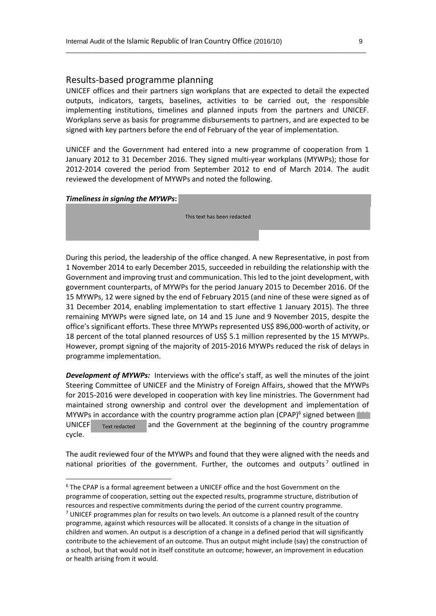#### Results-based programme planning

UNICEF offices and their partners sign workplans that are expected to detail the expected outputs, indicators, targets, baselines, activities to be carried out, the responsible implementing institutions, timelines and planned inputs from the partners and UNICEF. Workplans serve as basis for programme disbursements to partners, and are expected to be signed with key partners before the end of February of the year of implementation.

\_\_\_\_\_\_\_\_\_\_\_\_\_\_\_\_\_\_\_\_\_\_\_\_\_\_\_\_\_\_\_\_\_\_\_\_\_\_\_\_\_\_\_\_\_\_\_\_\_\_\_\_\_\_\_\_\_\_\_\_\_\_\_\_\_\_\_\_\_\_\_\_\_\_\_\_\_\_\_\_\_\_

UNICEF and the Government had entered into a new programme of cooperation from 1 January 2012 to 31 December 2016. They signed multi-year workplans (MYWPs); those for 2012-2014 covered the period from September 2012 to end of March 2014. The audit reviewed the development of MYWPs and noted the following.

#### *Timeliness in signing the MYWPs:*

1

\*\*\*\*\*\*\*\*\*\*\*\*\*\*\*\*\*\*\*\*

 $\mathbf{F}^*$  and  $\mathbf{F}^*$  are  $\mathbf{F}^*$  . This text has been redacted the state  $\mathbf{F}^*$  are  $\mathbf{F}^*$ \*\*\*\* \*\*\*\* \*\*\*\*\*\*\*\*\*\* \*\*\*\*\*\*\*\*\*\*\*\*\*\*\* \*\*\*\*\*\*\*\*\*\*\*\* \*\*\*\*\*\*\*\*\* \*\*\*\*\*\*\*\*\*\*\*\* \*\*\*\*\*\*\*

During this period, the leadership of the office changed. A new Representative, in post from 1 November 2014 to early December 2015, succeeded in rebuilding the relationship with the Government and improving trust and communication. Thisled to the joint development, with government counterparts, of MYWPs for the period January 2015 to December 2016. Of the 15 MYWPs, 12 were signed by the end of February 2015 (and nine of these were signed as of 31 December 2014, enabling implementation to start effective 1 January 2015). The three remaining MYWPs were signed late, on 14 and 15 June and 9 November 2015, despite the office's significant efforts. These three MYWPs represented US\$ 896,000-worth of activity, or 18 percent of the total planned resources of US\$ 5.1 million represented by the 15 MYWPs. However, prompt signing of the majority of 2015-2016 MYWPs reduced the risk of delays in programme implementation.

*Development of MYWPs:* Interviews with the office's staff, as well the minutes of the joint Steering Committee of UNICEF and the Ministry of Foreign Affairs, showed that the MYWPs for 2015-2016 were developed in cooperation with key line ministries. The Government had maintained strong ownership and control over the development and implementation of MYWPs in accordance with the country programme action plan (CPAP) $^6$  signed between UNICEF  $_{\text{Text related}}$  and the Government at the beginning of the country programme cycle. Text redacted

The audit reviewed four of the MYWPs and found that they were aligned with the needs and national priorities of the government. Further, the outcomes and outputs<sup>7</sup> outlined in

<sup>6</sup> The CPAP is a formal agreement between a UNICEF office and the host Government on the programme of cooperation, setting out the expected results, programme structure, distribution of resources and respective commitments during the period of the current country programme.  $<sup>7</sup>$  UNICEF programmes plan for results on two levels. An outcome is a planned result of the country</sup> programme, against which resources will be allocated. It consists of a change in the situation of children and women. An output is a description of a change in a defined period that will significantly contribute to the achievement of an outcome. Thus an output might include (say) the construction of a school, but that would not in itself constitute an outcome; however, an improvement in education or health arising from it would.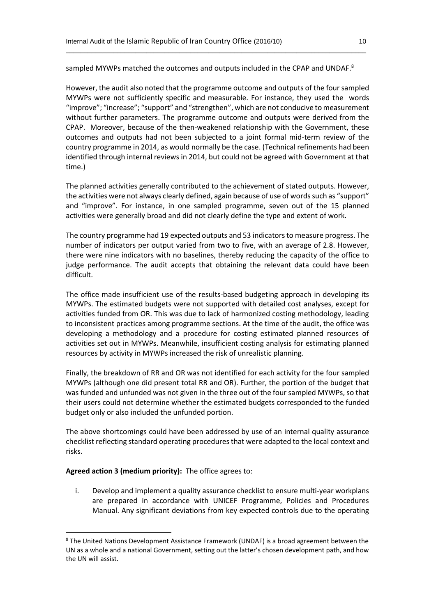sampled MYWPs matched the outcomes and outputs included in the CPAP and UNDAF. $8$ 

\_\_\_\_\_\_\_\_\_\_\_\_\_\_\_\_\_\_\_\_\_\_\_\_\_\_\_\_\_\_\_\_\_\_\_\_\_\_\_\_\_\_\_\_\_\_\_\_\_\_\_\_\_\_\_\_\_\_\_\_\_\_\_\_\_\_\_\_\_\_\_\_\_\_\_\_\_\_\_\_\_\_

However, the audit also noted that the programme outcome and outputs of the four sampled MYWPs were not sufficiently specific and measurable. For instance, they used the words "improve"; "increase"; "support" and "strengthen", which are not conducive to measurement without further parameters. The programme outcome and outputs were derived from the CPAP. Moreover, because of the then-weakened relationship with the Government, these outcomes and outputs had not been subjected to a joint formal mid-term review of the country programme in 2014, as would normally be the case. (Technical refinements had been identified through internal reviews in 2014, but could not be agreed with Government at that time.)

The planned activities generally contributed to the achievement of stated outputs. However, the activities were not always clearly defined, again because of use of words such as "support" and "improve". For instance, in one sampled programme, seven out of the 15 planned activities were generally broad and did not clearly define the type and extent of work.

The country programme had 19 expected outputs and 53 indicators to measure progress. The number of indicators per output varied from two to five, with an average of 2.8. However, there were nine indicators with no baselines, thereby reducing the capacity of the office to judge performance. The audit accepts that obtaining the relevant data could have been difficult.

The office made insufficient use of the results-based budgeting approach in developing its MYWPs. The estimated budgets were not supported with detailed cost analyses, except for activities funded from OR. This was due to lack of harmonized costing methodology, leading to inconsistent practices among programme sections. At the time of the audit, the office was developing a methodology and a procedure for costing estimated planned resources of activities set out in MYWPs. Meanwhile, insufficient costing analysis for estimating planned resources by activity in MYWPs increased the risk of unrealistic planning.

Finally, the breakdown of RR and OR was not identified for each activity for the four sampled MYWPs (although one did present total RR and OR). Further, the portion of the budget that was funded and unfunded was not given in the three out of the four sampled MYWPs, so that their users could not determine whether the estimated budgets corresponded to the funded budget only or also included the unfunded portion.

The above shortcomings could have been addressed by use of an internal quality assurance checklist reflecting standard operating procedures that were adapted to the local context and risks.

#### **Agreed action 3 (medium priority):** The office agrees to:

**.** 

i. Develop and implement a quality assurance checklist to ensure multi-year workplans are prepared in accordance with UNICEF Programme, Policies and Procedures Manual. Any significant deviations from key expected controls due to the operating

<sup>&</sup>lt;sup>8</sup> The United Nations Development Assistance Framework (UNDAF) is a broad agreement between the UN as a whole and a national Government, setting out the latter's chosen development path, and how the UN will assist.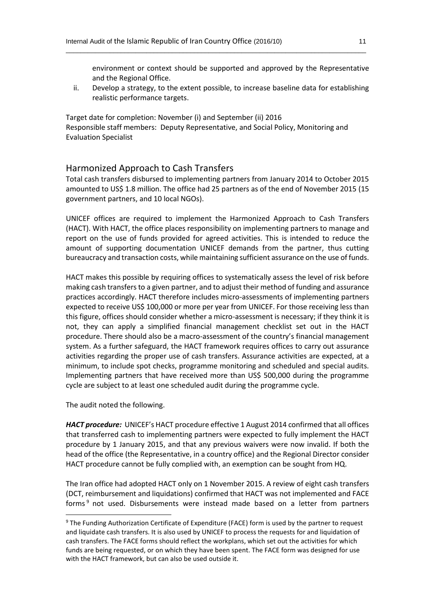environment or context should be supported and approved by the Representative and the Regional Office.

ii. Develop a strategy, to the extent possible, to increase baseline data for establishing realistic performance targets.

\_\_\_\_\_\_\_\_\_\_\_\_\_\_\_\_\_\_\_\_\_\_\_\_\_\_\_\_\_\_\_\_\_\_\_\_\_\_\_\_\_\_\_\_\_\_\_\_\_\_\_\_\_\_\_\_\_\_\_\_\_\_\_\_\_\_\_\_\_\_\_\_\_\_\_\_\_\_\_\_\_\_

Target date for completion: November (i) and September (ii) 2016 Responsible staff members: Deputy Representative, and Social Policy, Monitoring and Evaluation Specialist

#### Harmonized Approach to Cash Transfers

Total cash transfers disbursed to implementing partners from January 2014 to October 2015 amounted to US\$ 1.8 million. The office had 25 partners as of the end of November 2015 (15 government partners, and 10 local NGOs).

UNICEF offices are required to implement the Harmonized Approach to Cash Transfers (HACT). With HACT, the office places responsibility on implementing partners to manage and report on the use of funds provided for agreed activities. This is intended to reduce the amount of supporting documentation UNICEF demands from the partner, thus cutting bureaucracy and transaction costs, while maintaining sufficient assurance on the use of funds.

HACT makes this possible by requiring offices to systematically assess the level of risk before making cash transfers to a given partner, and to adjust their method of funding and assurance practices accordingly. HACT therefore includes micro-assessments of implementing partners expected to receive US\$ 100,000 or more per year from UNICEF. For those receiving less than this figure, offices should consider whether a micro-assessment is necessary; if they think it is not, they can apply a simplified financial management checklist set out in the HACT procedure. There should also be a macro‐assessment of the country's financial management system. As a further safeguard, the HACT framework requires offices to carry out assurance activities regarding the proper use of cash transfers. Assurance activities are expected, at a minimum, to include spot checks, programme monitoring and scheduled and special audits. Implementing partners that have received more than US\$ 500,000 during the programme cycle are subject to at least one scheduled audit during the programme cycle.

The audit noted the following.

 $\overline{a}$ 

*HACT procedure:* UNICEF's HACT procedure effective 1 August 2014 confirmed that all offices that transferred cash to implementing partners were expected to fully implement the HACT procedure by 1 January 2015, and that any previous waivers were now invalid. If both the head of the office (the Representative, in a country office) and the Regional Director consider HACT procedure cannot be fully complied with, an exemption can be sought from HQ.

The Iran office had adopted HACT only on 1 November 2015. A review of eight cash transfers (DCT, reimbursement and liquidations) confirmed that HACT was not implemented and FACE forms<sup>9</sup> not used. Disbursements were instead made based on a letter from partners

<sup>&</sup>lt;sup>9</sup> The Funding Authorization Certificate of Expenditure (FACE) form is used by the partner to request and liquidate cash transfers. It is also used by UNICEF to process the requests for and liquidation of cash transfers. The FACE forms should reflect the workplans, which set out the activities for which funds are being requested, or on which they have been spent. The FACE form was designed for use with the HACT framework, but can also be used outside it.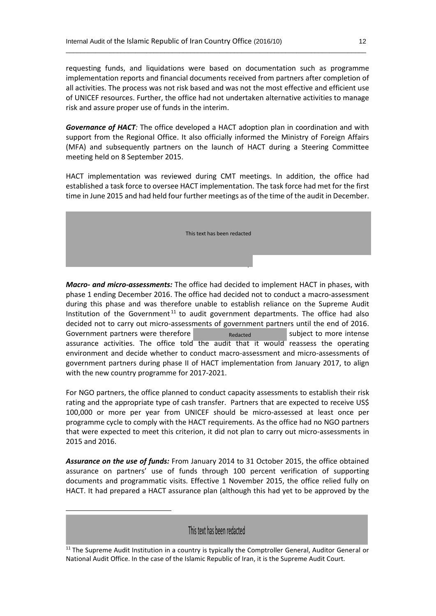requesting funds, and liquidations were based on documentation such as programme implementation reports and financial documents received from partners after completion of all activities. The process was not risk based and was not the most effective and efficient use of UNICEF resources. Further, the office had not undertaken alternative activities to manage risk and assure proper use of funds in the interim.

\_\_\_\_\_\_\_\_\_\_\_\_\_\_\_\_\_\_\_\_\_\_\_\_\_\_\_\_\_\_\_\_\_\_\_\_\_\_\_\_\_\_\_\_\_\_\_\_\_\_\_\_\_\_\_\_\_\_\_\_\_\_\_\_\_\_\_\_\_\_\_\_\_\_\_\_\_\_\_\_\_\_

*Governance of HACT:* The office developed a HACT adoption plan in coordination and with support from the Regional Office. It also officially informed the Ministry of Foreign Affairs (MFA) and subsequently partners on the launch of HACT during a Steering Committee meeting held on 8 September 2015.

HACT implementation was reviewed during CMT meetings. In addition, the office had established a task force to oversee HACT implementation. The task force had met for the first time in June 2015 and had held four further meetings as of the time of the audit in December.



*Macro- and micro-assessments:* The office had decided to implement HACT in phases, with phase 1 ending December 2016. The office had decided not to conduct a macro-assessment during this phase and was therefore unable to establish reliance on the Supreme Audit Institution of the Government<sup>11</sup> to audit government departments. The office had also decided not to carry out micro-assessments of government partners until the end of 2016. Government partners were therefore  $\frac{1}{x}$   $\frac{1}{x}$  and  $\frac{1}{x}$  subject to more intense assurance activities. The office told the audit that it would reassess the operating environment and decide whether to conduct macro-assessment and micro-assessments of government partners during phase II of HACT implementation from January 2017, to align with the new country programme for 2017-2021. Redacted

For NGO partners, the office planned to conduct capacity assessments to establish their risk rating and the appropriate type of cash transfer. Partners that are expected to receive US\$ 100,000 or more per year from UNICEF should be micro-assessed at least once per programme cycle to comply with the HACT requirements. As the office had no NGO partners that were expected to meet this criterion, it did not plan to carry out micro-assessments in 2015 and 2016.

*Assurance on the use of funds:* From January 2014 to 31 October 2015, the office obtained assurance on partners' use of funds through 100 percent verification of supporting documents and programmatic visits. Effective 1 November 2015, the office relied fully on HACT. It had prepared a HACT assurance plan (although this had yet to be approved by the

#### This text has been redacted

**.** 

<sup>&</sup>lt;sup>11</sup> The Supreme Audit Institution in a country is typically the Comptroller General, Auditor General or National Audit Office. In the case of the Islamic Republic of Iran, it is the Supreme Audit Court.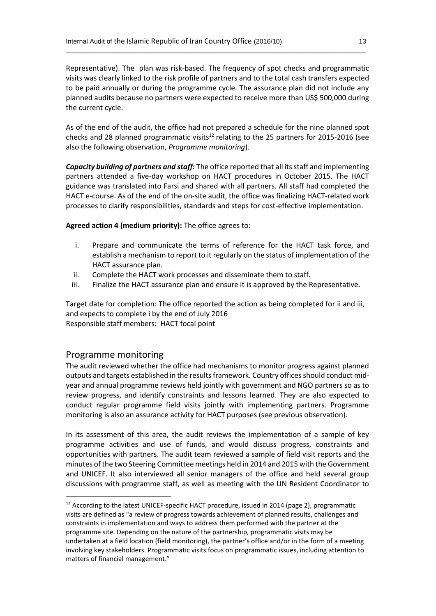Representative). The plan was risk-based. The frequency of spot checks and programmatic visits was clearly linked to the risk profile of partners and to the total cash transfers expected to be paid annually or during the programme cycle. The assurance plan did not include any planned audits because no partners were expected to receive more than US\$ 500,000 during the current cycle.

\_\_\_\_\_\_\_\_\_\_\_\_\_\_\_\_\_\_\_\_\_\_\_\_\_\_\_\_\_\_\_\_\_\_\_\_\_\_\_\_\_\_\_\_\_\_\_\_\_\_\_\_\_\_\_\_\_\_\_\_\_\_\_\_\_\_\_\_\_\_\_\_\_\_\_\_\_\_\_\_\_\_

As of the end of the audit, the office had not prepared a schedule for the nine planned spot checks and 28 planned programmatic visits<sup>12</sup> relating to the 25 partners for 2015-2016 (see also the following observation, *Programme monitoring*).

*Capacity building of partners and staff:* The office reported that all itsstaff and implementing partners attended a five-day workshop on HACT procedures in October 2015. The HACT guidance was translated into Farsi and shared with all partners. All staff had completed the HACT e-course. As of the end of the on-site audit, the office was finalizing HACT-related work processes to clarify responsibilities, standards and steps for cost-effective implementation.

**Agreed action 4 (medium priority):** The office agrees to:

- i. Prepare and communicate the terms of reference for the HACT task force, and establish a mechanism to report to it regularly on the status of implementation of the HACT assurance plan.
- ii. Complete the HACT work processes and disseminate them to staff.
- iii. Finalize the HACT assurance plan and ensure it is approved by the Representative.

Target date for completion: The office reported the action as being completed for ii and iii, and expects to complete i by the end of July 2016 Responsible staff members: HACT focal point

#### Programme monitoring

 $\overline{a}$ 

The audit reviewed whether the office had mechanisms to monitor progress against planned outputs and targets established in the results framework. Country offices should conduct midyear and annual programme reviews held jointly with government and NGO partners so as to review progress, and identify constraints and lessons learned. They are also expected to conduct regular programme field visits jointly with implementing partners. Programme monitoring is also an assurance activity for HACT purposes (see previous observation).

In its assessment of this area, the audit reviews the implementation of a sample of key programme activities and use of funds, and would discuss progress, constraints and opportunities with partners. The audit team reviewed a sample of field visit reports and the minutes of the two Steering Committee meetings held in 2014 and 2015 with the Government and UNICEF. It also interviewed all senior managers of the office and held several group discussions with programme staff, as well as meeting with the UN Resident Coordinator to

<sup>&</sup>lt;sup>12</sup> According to the latest UNICEF-specific HACT procedure, issued in 2014 (page 2), programmatic visits are defined as "a review of progress towards achievement of planned results, challenges and constraints in implementation and ways to address them performed with the partner at the programme site. Depending on the nature of the partnership, programmatic visits may be undertaken at a field location (field monitoring), the partner's office and/or in the form of a meeting involving key stakeholders. Programmatic visits focus on programmatic issues, including attention to matters of financial management."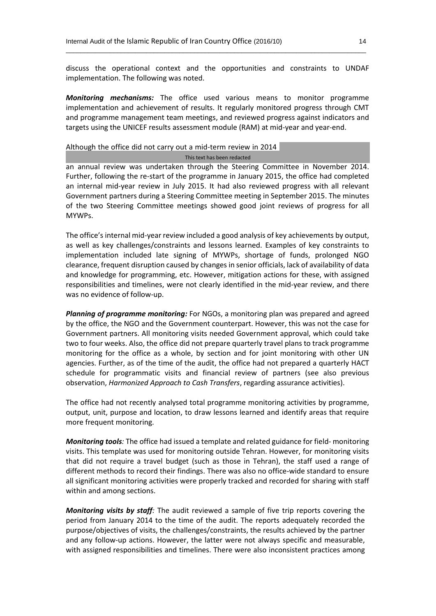discuss the operational context and the opportunities and constraints to UNDAF implementation. The following was noted.

\_\_\_\_\_\_\_\_\_\_\_\_\_\_\_\_\_\_\_\_\_\_\_\_\_\_\_\_\_\_\_\_\_\_\_\_\_\_\_\_\_\_\_\_\_\_\_\_\_\_\_\_\_\_\_\_\_\_\_\_\_\_\_\_\_\_\_\_\_\_\_\_\_\_\_\_\_\_\_\_\_\_

*Monitoring mechanisms:* The office used various means to monitor programme implementation and achievement of results. It regularly monitored progress through CMT and programme management team meetings, and reviewed progress against indicators and targets using the UNICEF results assessment module (RAM) at mid-year and year-end.

#### Although the office did not carry out a mid-term review in 2014

#### $*{\mathbb Z}^n$  and  $*{\mathbb Z}^n$  and  $*{\mathbb Z}^n$  and  $*{\mathbb Z}^n$  . This text has been redacted  $*{\mathbb Z}^n$  and  $*{\mathbb Z}^n$  and  $*{\mathbb Z}^n$  and  $*{\mathbb Z}^n$  and  $*{\mathbb Z}^n$  and  $*{\mathbb Z}^n$  and  $*{\mathbb Z}^n$  and  $*{\mathbb Z}^n$  and  $*{\mathbb Z}^n$  and

an annual review was undertaken through the Steering Committee in November 2014. Further, following the re-start of the programme in January 2015, the office had completed an internal mid-year review in July 2015. It had also reviewed progress with all relevant Government partners during a Steering Committee meeting in September 2015. The minutes of the two Steering Committee meetings showed good joint reviews of progress for all MYWPs.

The office's internal mid-year review included a good analysis of key achievements by output, as well as key challenges/constraints and lessons learned. Examples of key constraints to implementation included late signing of MYWPs, shortage of funds, prolonged NGO clearance, frequent disruption caused by changes in senior officials, lack of availability of data and knowledge for programming, etc. However, mitigation actions for these, with assigned responsibilities and timelines, were not clearly identified in the mid-year review, and there was no evidence of follow-up.

*Planning of programme monitoring:* For NGOs, a monitoring plan was prepared and agreed by the office, the NGO and the Government counterpart. However, this was not the case for Government partners. All monitoring visits needed Government approval, which could take two to four weeks. Also, the office did not prepare quarterly travel plans to track programme monitoring for the office as a whole, by section and for joint monitoring with other UN agencies. Further, as of the time of the audit, the office had not prepared a quarterly HACT schedule for programmatic visits and financial review of partners (see also previous observation, *Harmonized Approach to Cash Transfers*, regarding assurance activities).

The office had not recently analysed total programme monitoring activities by programme, output, unit, purpose and location, to draw lessons learned and identify areas that require more frequent monitoring.

*Monitoring tools:* The office had issued a template and related guidance for field- monitoring visits. This template was used for monitoring outside Tehran. However, for monitoring visits that did not require a travel budget (such as those in Tehran), the staff used a range of different methods to record their findings. There was also no office-wide standard to ensure all significant monitoring activities were properly tracked and recorded for sharing with staff within and among sections.

*Monitoring visits by staff:* The audit reviewed a sample of five trip reports covering the period from January 2014 to the time of the audit. The reports adequately recorded the purpose/objectives of visits, the challenges/constraints, the results achieved by the partner and any follow-up actions. However, the latter were not always specific and measurable, with assigned responsibilities and timelines. There were also inconsistent practices among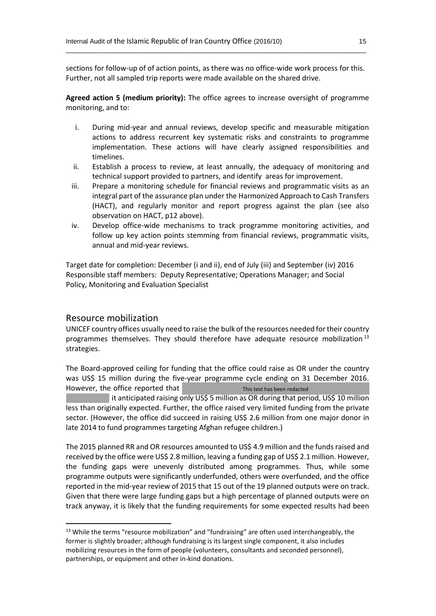sections for follow-up of of action points, as there was no office-wide work process for this. Further, not all sampled trip reports were made available on the shared drive.

\_\_\_\_\_\_\_\_\_\_\_\_\_\_\_\_\_\_\_\_\_\_\_\_\_\_\_\_\_\_\_\_\_\_\_\_\_\_\_\_\_\_\_\_\_\_\_\_\_\_\_\_\_\_\_\_\_\_\_\_\_\_\_\_\_\_\_\_\_\_\_\_\_\_\_\_\_\_\_\_\_\_

**Agreed action 5 (medium priority):** The office agrees to increase oversight of programme monitoring, and to:

- i. During mid-year and annual reviews, develop specific and measurable mitigation actions to address recurrent key systematic risks and constraints to programme implementation. These actions will have clearly assigned responsibilities and timelines.
- ii. Establish a process to review, at least annually, the adequacy of monitoring and technical support provided to partners, and identify areas for improvement.
- iii. Prepare a monitoring schedule for financial reviews and programmatic visits as an integral part of the assurance plan under the Harmonized Approach to Cash Transfers (HACT), and regularly monitor and report progress against the plan (see also observation on HACT, p12 above).
- iv. Develop office-wide mechanisms to track programme monitoring activities, and follow up key action points stemming from financial reviews, programmatic visits, annual and mid-year reviews.

Target date for completion: December (i and ii), end of July (iii) and September (iv) 2016 Responsible staff members: Deputy Representative; Operations Manager; and Social Policy, Monitoring and Evaluation Specialist

#### Resource mobilization

**.** 

UNICEF country offices usually need to raise the bulk of the resources needed for their country programmes themselves. They should therefore have adequate resource mobilization<sup>13</sup> strategies.

The Board-approved ceiling for funding that the office could raise as OR under the country was US\$ 15 million during the five-year programme cycle ending on 31 December 2016. However, the office reported that This text has been redacted

it anticipated raising only US\$ 5 million as OR during that period, US\$ 10 million less than originally expected. Further, the office raised very limited funding from the private sector. (However, the office did succeed in raising US\$ 2.6 million from one major donor in late 2014 to fund programmes targeting Afghan refugee children.)

The 2015 planned RR and OR resources amounted to US\$ 4.9 million and the funds raised and received by the office were US\$ 2.8 million, leaving a funding gap of US\$ 2.1 million. However, the funding gaps were unevenly distributed among programmes. Thus, while some programme outputs were significantly underfunded, others were overfunded, and the office reported in the mid-year review of 2015 that 15 out of the 19 planned outputs were on track. Given that there were large funding gaps but a high percentage of planned outputs were on track anyway, it is likely that the funding requirements for some expected results had been

<sup>&</sup>lt;sup>13</sup> While the terms "resource mobilization" and "fundraising" are often used interchangeably, the former is slightly broader; although fundraising is its largest single component, it also includes mobilizing resources in the form of people (volunteers, consultants and seconded personnel), partnerships, or equipment and other in-kind donations.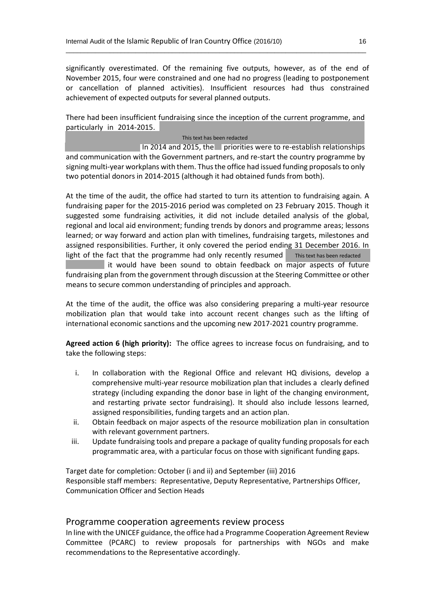significantly overestimated. Of the remaining five outputs, however, as of the end of November 2015, four were constrained and one had no progress (leading to postponement or cancellation of planned activities). Insufficient resources had thus constrained achievement of expected outputs for several planned outputs.

\_\_\_\_\_\_\_\_\_\_\_\_\_\_\_\_\_\_\_\_\_\_\_\_\_\_\_\_\_\_\_\_\_\_\_\_\_\_\_\_\_\_\_\_\_\_\_\_\_\_\_\_\_\_\_\_\_\_\_\_\_\_\_\_\_\_\_\_\_\_\_\_\_\_\_\_\_\_\_\_\_\_

There had been insufficient fundraising since the inception of the current programme, and particularly in  $2014$ - $2015$ .

#### $*{\mathbb Z}^n$  and  $*{\mathbb Z}^n$  and  $*{\mathbb Z}^n$  . This text has been redacted  $*{\mathbb Z}^n$  and  $*{\mathbb Z}^n$  and  $*{\mathbb Z}^n$

 $\ln 2014$  and 2015, the  $\ln$  priorities were to re-establish relationships and communication with the Government partners, and re-start the country programme by signing multi-year workplans with them. Thus the office had issued funding proposals to only two potential donors in 2014-2015 (although it had obtained funds from both).

At the time of the audit, the office had started to turn its attention to fundraising again. A fundraising paper for the 2015-2016 period was completed on 23 February 2015. Though it suggested some fundraising activities, it did not include detailed analysis of the global, regional and local aid environment; funding trends by donors and programme areas; lessons learned; or way forward and action plan with timelines, fundraising targets, milestones and assigned responsibilities. Further, it only covered the period ending 31 December 2016. In light of the fact that the programme had only recently resumed This text has been redacted

it would have been sound to obtain feedback on major aspects of future fundraising plan from the government through discussion at the Steering Committee or other means to secure common understanding of principles and approach.

At the time of the audit, the office was also considering preparing a multi-year resource mobilization plan that would take into account recent changes such as the lifting of international economic sanctions and the upcoming new 2017-2021 country programme.

**Agreed action 6 (high priority):** The office agrees to increase focus on fundraising, and to take the following steps:

- i. In collaboration with the Regional Office and relevant HQ divisions, develop a comprehensive multi-year resource mobilization plan that includes a clearly defined strategy (including expanding the donor base in light of the changing environment, and restarting private sector fundraising). It should also include lessons learned, assigned responsibilities, funding targets and an action plan.
- ii. Obtain feedback on major aspects of the resource mobilization plan in consultation with relevant government partners.
- iii. Update fundraising tools and prepare a package of quality funding proposals for each programmatic area, with a particular focus on those with significant funding gaps.

Target date for completion: October (i and ii) and September (iii) 2016 Responsible staff members: Representative, Deputy Representative, Partnerships Officer, Communication Officer and Section Heads

#### Programme cooperation agreements review process

In line with the UNICEF guidance, the office had a Programme Cooperation Agreement Review Committee (PCARC) to review proposals for partnerships with NGOs and make recommendations to the Representative accordingly.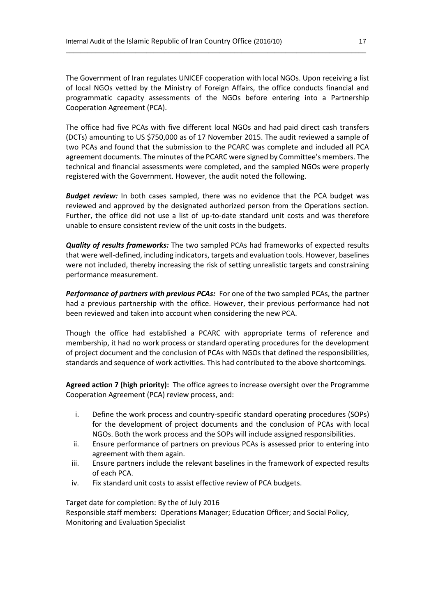The Government of Iran regulates UNICEF cooperation with local NGOs. Upon receiving a list of local NGOs vetted by the Ministry of Foreign Affairs, the office conducts financial and programmatic capacity assessments of the NGOs before entering into a Partnership Cooperation Agreement (PCA).

\_\_\_\_\_\_\_\_\_\_\_\_\_\_\_\_\_\_\_\_\_\_\_\_\_\_\_\_\_\_\_\_\_\_\_\_\_\_\_\_\_\_\_\_\_\_\_\_\_\_\_\_\_\_\_\_\_\_\_\_\_\_\_\_\_\_\_\_\_\_\_\_\_\_\_\_\_\_\_\_\_\_

The office had five PCAs with five different local NGOs and had paid direct cash transfers (DCTs) amounting to US \$750,000 as of 17 November 2015. The audit reviewed a sample of two PCAs and found that the submission to the PCARC was complete and included all PCA agreement documents. The minutes of the PCARC were signed by Committee's members. The technical and financial assessments were completed, and the sampled NGOs were properly registered with the Government. However, the audit noted the following.

*Budget review:* In both cases sampled, there was no evidence that the PCA budget was reviewed and approved by the designated authorized person from the Operations section. Further, the office did not use a list of up-to-date standard unit costs and was therefore unable to ensure consistent review of the unit costs in the budgets.

*Quality of results frameworks:* The two sampled PCAs had frameworks of expected results that were well-defined, including indicators, targets and evaluation tools. However, baselines were not included, thereby increasing the risk of setting unrealistic targets and constraining performance measurement.

*Performance of partners with previous PCAs:* For one of the two sampled PCAs, the partner had a previous partnership with the office. However, their previous performance had not been reviewed and taken into account when considering the new PCA.

Though the office had established a PCARC with appropriate terms of reference and membership, it had no work process or standard operating procedures for the development of project document and the conclusion of PCAs with NGOs that defined the responsibilities, standards and sequence of work activities. This had contributed to the above shortcomings.

**Agreed action 7 (high priority):** The office agrees to increase oversight over the Programme Cooperation Agreement (PCA) review process, and:

- i. Define the work process and country-specific standard operating procedures (SOPs) for the development of project documents and the conclusion of PCAs with local NGOs. Both the work process and the SOPs will include assigned responsibilities.
- ii. Ensure performance of partners on previous PCAs is assessed prior to entering into agreement with them again.
- iii. Ensure partners include the relevant baselines in the framework of expected results of each PCA.
- iv. Fix standard unit costs to assist effective review of PCA budgets.

Target date for completion: By the of July 2016

Responsible staff members: Operations Manager; Education Officer; and Social Policy, Monitoring and Evaluation Specialist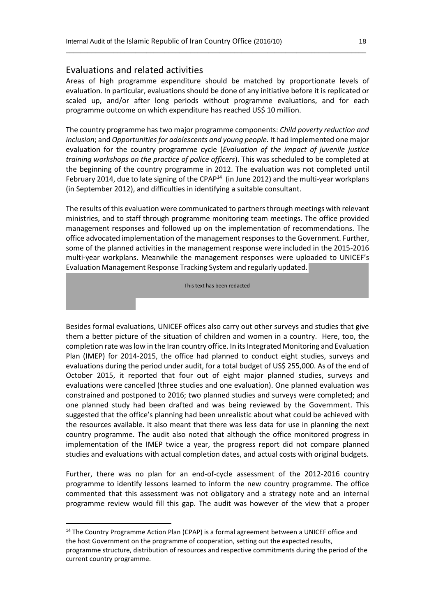#### Evaluations and related activities

 $\mathbb{R}^n$  . The set of  $\mathbb{R}^n$ 

**.** 

Areas of high programme expenditure should be matched by proportionate levels of evaluation. In particular, evaluations should be done of any initiative before it is replicated or scaled up, and/or after long periods without programme evaluations, and for each programme outcome on which expenditure has reached US\$ 10 million.

\_\_\_\_\_\_\_\_\_\_\_\_\_\_\_\_\_\_\_\_\_\_\_\_\_\_\_\_\_\_\_\_\_\_\_\_\_\_\_\_\_\_\_\_\_\_\_\_\_\_\_\_\_\_\_\_\_\_\_\_\_\_\_\_\_\_\_\_\_\_\_\_\_\_\_\_\_\_\_\_\_\_

The country programme has two major programme components: *Child poverty reduction and inclusion*; and *Opportunities for adolescents and young people*. It had implemented one major evaluation for the country programme cycle (*Evaluation of the impact of juvenile justice training workshops on the practice of police officers*). This was scheduled to be completed at the beginning of the country programme in 2012. The evaluation was not completed until February 2014, due to late signing of the CPAP<sup>14</sup> (in June 2012) and the multi-year workplans (in September 2012), and difficulties in identifying a suitable consultant.

The results of this evaluation were communicated to partners through meetings with relevant ministries, and to staff through programme monitoring team meetings. The office provided management responses and followed up on the implementation of recommendations. The office advocated implementation of the management responses to the Government. Further, some of the planned activities in the management response were included in the 2015-2016 multi-year workplans. Meanwhile the management responses were uploaded to UNICEF's Evaluation Management Response Tracking System and regularly updated.

 $\mathbf{F}^*$  and  $\mathbf{F}^*$  are  $\mathbf{F}^*$  and  $\mathbf{F}^*$  are  $\mathbf{F}^*$  and  $\mathbf{F}^*$  are  $\mathbf{F}^*$  and  $\mathbf{F}^*$  are  $\mathbf{F}^*$  and  $\mathbf{F}^*$  are  $\mathbf{F}^*$  and  $\mathbf{F}^*$  are  $\mathbf{F}^*$  and  $\mathbf{F}^*$  are  $\mathbf{F}^*$  \*\*\*\*\*\*\*\*\*\*\*\*\*\*\*\*\*\*\*\*\*\*\*\*\*\*\*\*\*\*\*\*\*\*\*\*\*\*\*\*\*\*\*\*\*\*\*\*\*\*\*\*\*\*\*\*\*\*\*\*\*\*\*\*\*\*\*\*\*\*\*\*\*\*\*

Besides formal evaluations, UNICEF offices also carry out other surveys and studies that give them a better picture of the situation of children and women in a country. Here, too, the completion rate was low in the Iran country office. In its Integrated Monitoring and Evaluation Plan (IMEP) for 2014-2015, the office had planned to conduct eight studies, surveys and evaluations during the period under audit, for a total budget of US\$ 255,000. As of the end of October 2015, it reported that four out of eight major planned studies, surveys and evaluations were cancelled (three studies and one evaluation). One planned evaluation was constrained and postponed to 2016; two planned studies and surveys were completed; and one planned study had been drafted and was being reviewed by the Government. This suggested that the office's planning had been unrealistic about what could be achieved with the resources available. It also meant that there was less data for use in planning the next country programme. The audit also noted that although the office monitored progress in implementation of the IMEP twice a year, the progress report did not compare planned studies and evaluations with actual completion dates, and actual costs with original budgets.

Further, there was no plan for an end-of-cycle assessment of the 2012-2016 country programme to identify lessons learned to inform the new country programme. The office commented that this assessment was not obligatory and a strategy note and an internal programme review would fill this gap. The audit was however of the view that a proper

<sup>&</sup>lt;sup>14</sup> The Country Programme Action Plan (CPAP) is a formal agreement between a UNICEF office and the host Government on the programme of cooperation, setting out the expected results, programme structure, distribution of resources and respective commitments during the period of the

current country programme.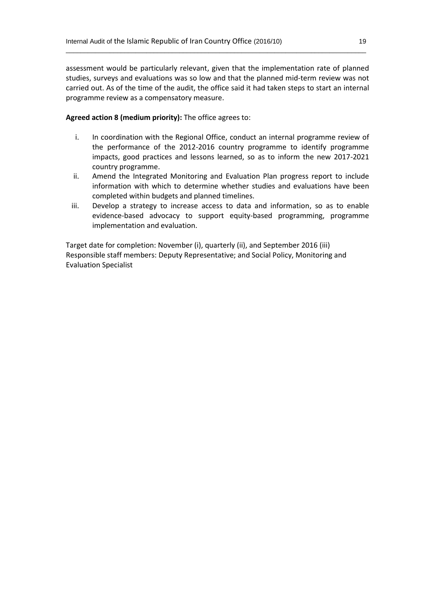assessment would be particularly relevant, given that the implementation rate of planned studies, surveys and evaluations was so low and that the planned mid-term review was not carried out. As of the time of the audit, the office said it had taken steps to start an internal programme review as a compensatory measure.

\_\_\_\_\_\_\_\_\_\_\_\_\_\_\_\_\_\_\_\_\_\_\_\_\_\_\_\_\_\_\_\_\_\_\_\_\_\_\_\_\_\_\_\_\_\_\_\_\_\_\_\_\_\_\_\_\_\_\_\_\_\_\_\_\_\_\_\_\_\_\_\_\_\_\_\_\_\_\_\_\_\_

#### **Agreed action 8 (medium priority):** The office agrees to:

- i. In coordination with the Regional Office, conduct an internal programme review of the performance of the 2012-2016 country programme to identify programme impacts, good practices and lessons learned, so as to inform the new 2017-2021 country programme.
- ii. Amend the Integrated Monitoring and Evaluation Plan progress report to include information with which to determine whether studies and evaluations have been completed within budgets and planned timelines.
- iii. Develop a strategy to increase access to data and information, so as to enable evidence-based advocacy to support equity-based programming, programme implementation and evaluation.

Target date for completion: November (i), quarterly (ii), and September 2016 (iii) Responsible staff members: Deputy Representative; and Social Policy, Monitoring and Evaluation Specialist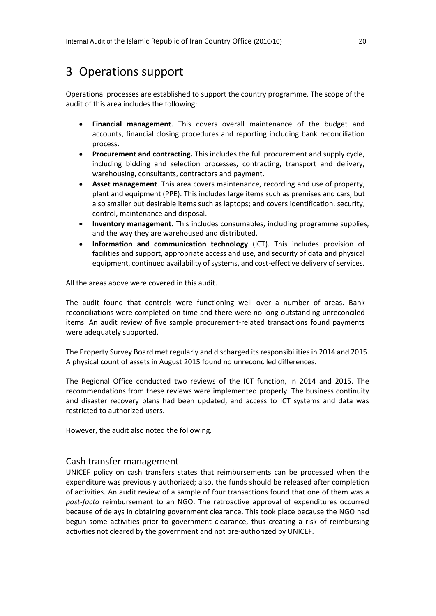### 3 Operations support

Operational processes are established to support the country programme. The scope of the audit of this area includes the following:

\_\_\_\_\_\_\_\_\_\_\_\_\_\_\_\_\_\_\_\_\_\_\_\_\_\_\_\_\_\_\_\_\_\_\_\_\_\_\_\_\_\_\_\_\_\_\_\_\_\_\_\_\_\_\_\_\_\_\_\_\_\_\_\_\_\_\_\_\_\_\_\_\_\_\_\_\_\_\_\_\_\_

- **Financial management**. This covers overall maintenance of the budget and accounts, financial closing procedures and reporting including bank reconciliation process.
- **Procurement and contracting.** This includes the full procurement and supply cycle, including bidding and selection processes, contracting, transport and delivery, warehousing, consultants, contractors and payment.
- **Asset management**. This area covers maintenance, recording and use of property, plant and equipment (PPE). This includes large items such as premises and cars, but also smaller but desirable items such as laptops; and covers identification, security, control, maintenance and disposal.
- **Inventory management.** This includes consumables, including programme supplies, and the way they are warehoused and distributed.
- **Information and communication technology** (ICT). This includes provision of facilities and support, appropriate access and use, and security of data and physical equipment, continued availability of systems, and cost-effective delivery of services.

All the areas above were covered in this audit.

The audit found that controls were functioning well over a number of areas. Bank reconciliations were completed on time and there were no long-outstanding unreconciled items. An audit review of five sample procurement-related transactions found payments were adequately supported.

The Property Survey Board met regularly and discharged its responsibilities in 2014 and 2015. A physical count of assets in August 2015 found no unreconciled differences.

The Regional Office conducted two reviews of the ICT function, in 2014 and 2015. The recommendations from these reviews were implemented properly. The business continuity and disaster recovery plans had been updated, and access to ICT systems and data was restricted to authorized users.

However, the audit also noted the following.

#### Cash transfer management

UNICEF policy on cash transfers states that reimbursements can be processed when the expenditure was previously authorized; also, the funds should be released after completion of activities. An audit review of a sample of four transactions found that one of them was a *post-facto* reimbursement to an NGO. The retroactive approval of expenditures occurred because of delays in obtaining government clearance. This took place because the NGO had begun some activities prior to government clearance, thus creating a risk of reimbursing activities not cleared by the government and not pre-authorized by UNICEF.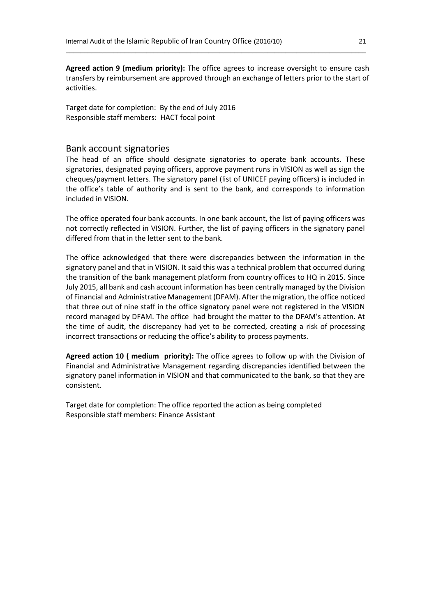**Agreed action 9 (medium priority):** The office agrees to increase oversight to ensure cash transfers by reimbursement are approved through an exchange of letters prior to the start of activities.

\_\_\_\_\_\_\_\_\_\_\_\_\_\_\_\_\_\_\_\_\_\_\_\_\_\_\_\_\_\_\_\_\_\_\_\_\_\_\_\_\_\_\_\_\_\_\_\_\_\_\_\_\_\_\_\_\_\_\_\_\_\_\_\_\_\_\_\_\_\_\_\_\_\_\_\_\_\_\_\_\_\_

Target date for completion: By the end of July 2016 Responsible staff members: HACT focal point

#### Bank account signatories

The head of an office should designate signatories to operate bank accounts. These signatories, designated paying officers, approve payment runs in VISION as well as sign the cheques/payment letters. The signatory panel (list of UNICEF paying officers) is included in the office's table of authority and is sent to the bank, and corresponds to information included in VISION.

The office operated four bank accounts. In one bank account, the list of paying officers was not correctly reflected in VISION. Further, the list of paying officers in the signatory panel differed from that in the letter sent to the bank.

The office acknowledged that there were discrepancies between the information in the signatory panel and that in VISION. It said this was a technical problem that occurred during the transition of the bank management platform from country offices to HQ in 2015. Since July 2015, all bank and cash account information has been centrally managed by the Division of Financial and Administrative Management (DFAM). After the migration, the office noticed that three out of nine staff in the office signatory panel were not registered in the VISION record managed by DFAM. The office had brought the matter to the DFAM's attention. At the time of audit, the discrepancy had yet to be corrected, creating a risk of processing incorrect transactions or reducing the office's ability to process payments.

**Agreed action 10 ( medium priority):** The office agrees to follow up with the Division of Financial and Administrative Management regarding discrepancies identified between the signatory panel information in VISION and that communicated to the bank, so that they are consistent.

Target date for completion: The office reported the action as being completed Responsible staff members: Finance Assistant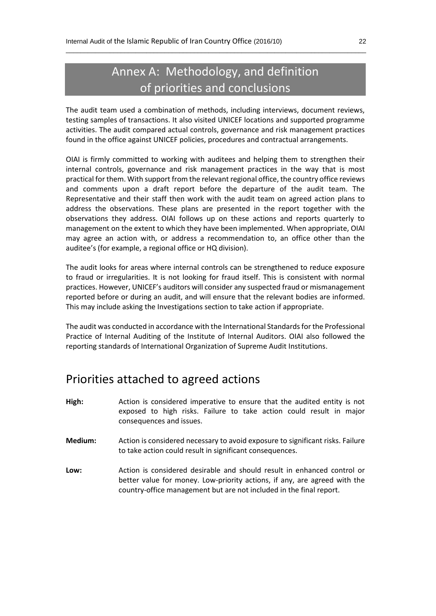# Annex A: Methodology, and definition of priorities and conclusions

\_\_\_\_\_\_\_\_\_\_\_\_\_\_\_\_\_\_\_\_\_\_\_\_\_\_\_\_\_\_\_\_\_\_\_\_\_\_\_\_\_\_\_\_\_\_\_\_\_\_\_\_\_\_\_\_\_\_\_\_\_\_\_\_\_\_\_\_\_\_\_\_\_\_\_\_\_\_\_\_\_\_

The audit team used a combination of methods, including interviews, document reviews, testing samples of transactions. It also visited UNICEF locations and supported programme activities. The audit compared actual controls, governance and risk management practices found in the office against UNICEF policies, procedures and contractual arrangements.

OIAI is firmly committed to working with auditees and helping them to strengthen their internal controls, governance and risk management practices in the way that is most practical for them. With support from the relevant regional office, the country office reviews and comments upon a draft report before the departure of the audit team. The Representative and their staff then work with the audit team on agreed action plans to address the observations. These plans are presented in the report together with the observations they address. OIAI follows up on these actions and reports quarterly to management on the extent to which they have been implemented. When appropriate, OIAI may agree an action with, or address a recommendation to, an office other than the auditee's (for example, a regional office or HQ division).

The audit looks for areas where internal controls can be strengthened to reduce exposure to fraud or irregularities. It is not looking for fraud itself. This is consistent with normal practices. However, UNICEF's auditors will consider any suspected fraud or mismanagement reported before or during an audit, and will ensure that the relevant bodies are informed. This may include asking the Investigations section to take action if appropriate.

The audit was conducted in accordance with the International Standards for the Professional Practice of Internal Auditing of the Institute of Internal Auditors. OIAI also followed the reporting standards of International Organization of Supreme Audit Institutions.

## Priorities attached to agreed actions

- **High:** Action is considered imperative to ensure that the audited entity is not exposed to high risks. Failure to take action could result in major consequences and issues.
- **Medium:** Action is considered necessary to avoid exposure to significant risks. Failure to take action could result in significant consequences.
- **Low:** Action is considered desirable and should result in enhanced control or better value for money. Low-priority actions, if any, are agreed with the country-office management but are not included in the final report.